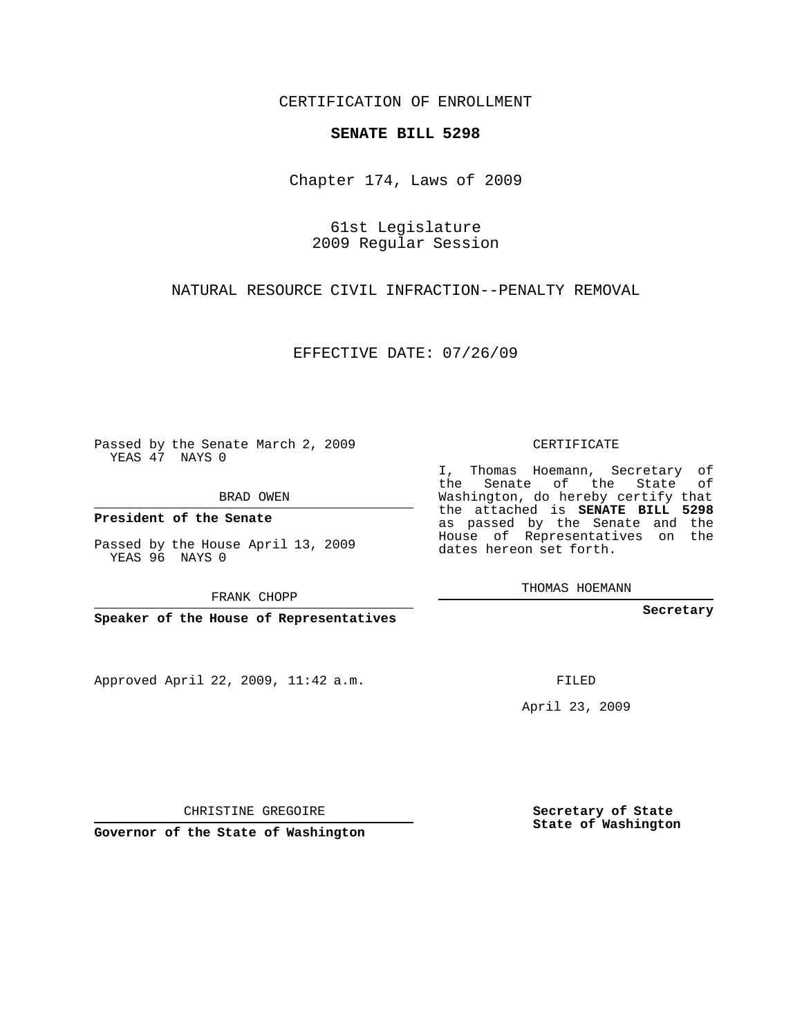CERTIFICATION OF ENROLLMENT

## **SENATE BILL 5298**

Chapter 174, Laws of 2009

61st Legislature 2009 Regular Session

NATURAL RESOURCE CIVIL INFRACTION--PENALTY REMOVAL

EFFECTIVE DATE: 07/26/09

Passed by the Senate March 2, 2009 YEAS 47 NAYS 0

**President of the Senate**

YEAS 96 NAYS 0

Approved April 22, 2009, 11:42 a.m.

CERTIFICATE

I, Thomas Hoemann, Secretary of the Senate of the State of Washington, do hereby certify that the attached is **SENATE BILL 5298** as passed by the Senate and the House of Representatives on the dates hereon set forth.

THOMAS HOEMANN

**Secretary**

FILED

April 23, 2009

**Secretary of State State of Washington**

CHRISTINE GREGOIRE

**Governor of the State of Washington**

BRAD OWEN

Passed by the House April 13, 2009

FRANK CHOPP

**Speaker of the House of Representatives**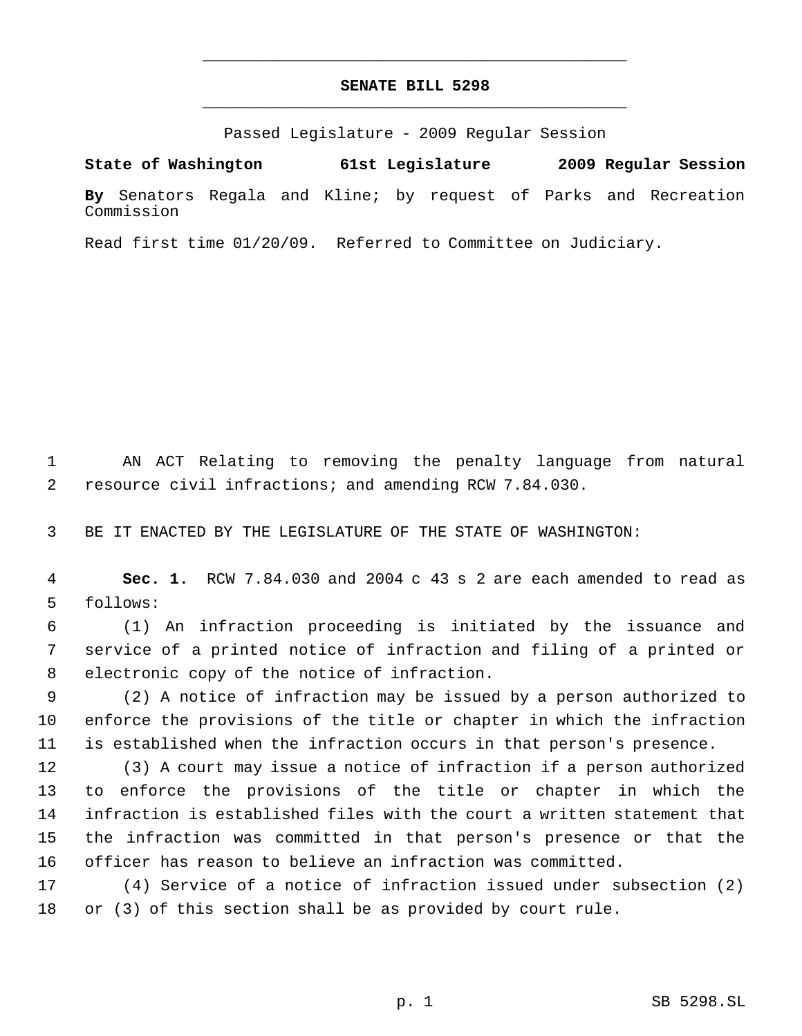## **SENATE BILL 5298** \_\_\_\_\_\_\_\_\_\_\_\_\_\_\_\_\_\_\_\_\_\_\_\_\_\_\_\_\_\_\_\_\_\_\_\_\_\_\_\_\_\_\_\_\_

\_\_\_\_\_\_\_\_\_\_\_\_\_\_\_\_\_\_\_\_\_\_\_\_\_\_\_\_\_\_\_\_\_\_\_\_\_\_\_\_\_\_\_\_\_

Passed Legislature - 2009 Regular Session

**State of Washington 61st Legislature 2009 Regular Session By** Senators Regala and Kline; by request of Parks and Recreation Commission

Read first time 01/20/09. Referred to Committee on Judiciary.

 AN ACT Relating to removing the penalty language from natural resource civil infractions; and amending RCW 7.84.030.

BE IT ENACTED BY THE LEGISLATURE OF THE STATE OF WASHINGTON:

 **Sec. 1.** RCW 7.84.030 and 2004 c 43 s 2 are each amended to read as follows:

 (1) An infraction proceeding is initiated by the issuance and service of a printed notice of infraction and filing of a printed or electronic copy of the notice of infraction.

 (2) A notice of infraction may be issued by a person authorized to enforce the provisions of the title or chapter in which the infraction is established when the infraction occurs in that person's presence.

 (3) A court may issue a notice of infraction if a person authorized to enforce the provisions of the title or chapter in which the infraction is established files with the court a written statement that the infraction was committed in that person's presence or that the officer has reason to believe an infraction was committed.

 (4) Service of a notice of infraction issued under subsection (2) or (3) of this section shall be as provided by court rule.